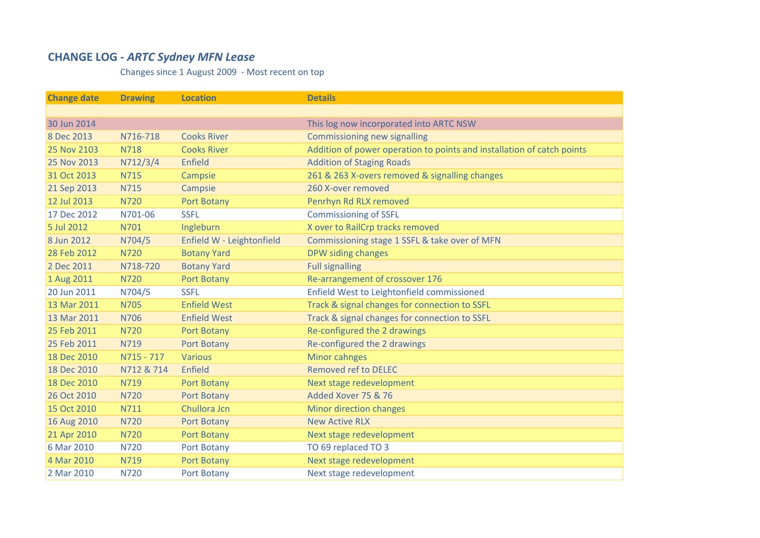## **CHANGE LOG ‐** *ARTC Sydney MFN Lease*

Changes since 1 August 2009 ‐ Most recent on top

| <b>Change date</b> | <b>Drawing</b> | <b>Location</b>           | <b>Details</b>                                                         |
|--------------------|----------------|---------------------------|------------------------------------------------------------------------|
|                    |                |                           |                                                                        |
| 30 Jun 2014        |                |                           | This log now incorporated into ARTC NSW                                |
| 8 Dec 2013         | N716-718       | <b>Cooks River</b>        | <b>Commissioning new signalling</b>                                    |
| 25 Nov 2103        | <b>N718</b>    | <b>Cooks River</b>        | Addition of power operation to points and installation of catch points |
| 25 Nov 2013        | N712/3/4       | <b>Enfield</b>            | <b>Addition of Staging Roads</b>                                       |
| 31 Oct 2013        | <b>N715</b>    | Campsie                   | 261 & 263 X-overs removed & signalling changes                         |
| 21 Sep 2013        | N715           | Campsie                   | 260 X-over removed                                                     |
| 12 Jul 2013        | <b>N720</b>    | Port Botany               | Penrhyn Rd RLX removed                                                 |
| 17 Dec 2012        | N701-06        | <b>SSFL</b>               | <b>Commissioning of SSFL</b>                                           |
| 5 Jul 2012         | N701           | Ingleburn                 | X over to RailCrp tracks removed                                       |
| 8 Jun 2012         | N704/5         | Enfield W - Leightonfield | Commissioning stage 1 SSFL & take over of MFN                          |
| 28 Feb 2012        | <b>N720</b>    | <b>Botany Yard</b>        | DPW siding changes                                                     |
| 2 Dec 2011         | N718-720       | <b>Botany Yard</b>        | <b>Full signalling</b>                                                 |
| 1 Aug 2011         | <b>N720</b>    | Port Botany               | Re-arrangement of crossover 176                                        |
| 20 Jun 2011        | N704/5         | <b>SSFL</b>               | Enfield West to Leightonfield commissioned                             |
| 13 Mar 2011        | <b>N705</b>    | <b>Enfield West</b>       | Track & signal changes for connection to SSFL                          |
| 13 Mar 2011        | <b>N706</b>    | <b>Enfield West</b>       | Track & signal changes for connection to SSFL                          |
| 25 Feb 2011        | <b>N720</b>    | Port Botany               | Re-configured the 2 drawings                                           |
| 25 Feb 2011        | N719           | Port Botany               | Re-configured the 2 drawings                                           |
| 18 Dec 2010        | N715 - 717     | <b>Various</b>            | Minor cahnges                                                          |
| 18 Dec 2010        | N712 & 714     | Enfield                   | <b>Removed ref to DELEC</b>                                            |
| 18 Dec 2010        | N719           | Port Botany               | Next stage redevelopment                                               |
| 26 Oct 2010        | <b>N720</b>    | Port Botany               | Added Xover 75 & 76                                                    |
| 15 Oct 2010        | N711           | Chullora Jcn              | <b>Minor direction changes</b>                                         |
| 16 Aug 2010        | <b>N720</b>    | Port Botany               | <b>New Active RLX</b>                                                  |
| 21 Apr 2010        | <b>N720</b>    | Port Botany               | Next stage redevelopment                                               |
| 6 Mar 2010         | <b>N720</b>    | Port Botany               | TO 69 replaced TO 3                                                    |
| 4 Mar 2010         | N719           | Port Botany               | Next stage redevelopment                                               |
| 2 Mar 2010         | N720           | Port Botany               | Next stage redevelopment                                               |